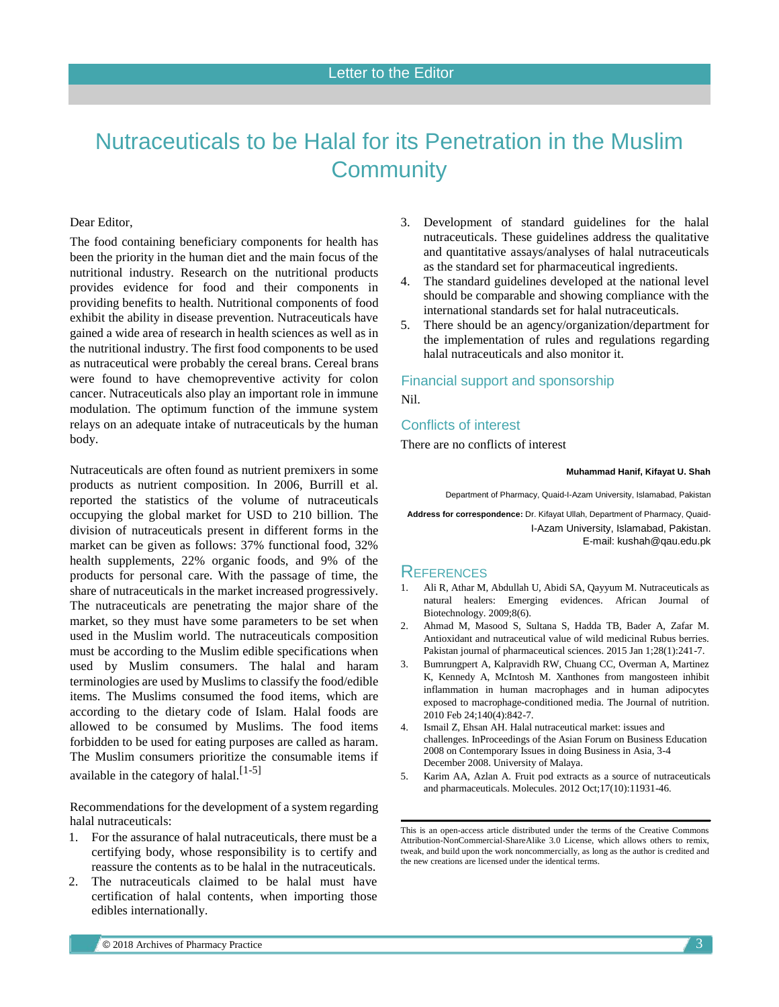# <span id="page-0-0"></span>Nutraceuticals to be Halal for its Penetration in the Muslim **Community**

### Dear Editor,

The food containing beneficiary components for health has been the priority in the human diet and the main focus of the nutritional industry. Research on the nutritional products provides evidence for food and their components in providing benefits to health. Nutritional components of food exhibit the ability in disease prevention. Nutraceuticals have gained a wide area of research in health sciences as well as in the nutritional industry. The first food components to be used as nutraceutical were probably the cereal brans. Cereal brans were found to have chemopreventive activity for colon cancer. Nutraceuticals also play an important role in immune modulation. The optimum function of the immune system relays on an adequate intake of nutraceuticals by the human body.

Nutraceuticals are often found as nutrient premixers in some products as nutrient composition. In 2006, Burrill et al. reported the statistics of the volume of nutraceuticals occupying the global market for USD to 210 billion. The division of nutraceuticals present in different forms in the market can be given as follows: 37% functional food, 32% health supplements, 22% organic foods, and 9% of the products for personal care. With the passage of time, the share of nutraceuticals in the market increased progressively. The nutraceuticals are penetrating the major share of the market, so they must have some parameters to be set when used in the Muslim world. The nutraceuticals composition must be according to the Muslim edible specifications when used by Muslim consumers. The halal and haram terminologies are used by Muslims to classify the food/edible items. The Muslims consumed the food items, which are according to the dietary code of Islam. Halal foods are allowed to be consumed by Muslims. The food items forbidden to be used for eating purposes are called as haram. The Muslim consumers prioritize the consumable items if available in the category of halal.<sup>[\[1-5\]](#page-0-0)</sup>

Recommendations for the development of a system regarding halal nutraceuticals:

- 1. For the assurance of halal nutraceuticals, there must be a certifying body, whose responsibility is to certify and reassure the contents as to be halal in the nutraceuticals.
- 2. The nutraceuticals claimed to be halal must have certification of halal contents, when importing those edibles internationally.
- 3. Development of standard guidelines for the halal nutraceuticals. These guidelines address the qualitative and quantitative assays/analyses of halal nutraceuticals as the standard set for pharmaceutical ingredients.
- 4. The standard guidelines developed at the national level should be comparable and showing compliance with the international standards set for halal nutraceuticals.
- 5. There should be an agency/organization/department for the implementation of rules and regulations regarding halal nutraceuticals and also monitor it.

## Financial support and sponsorship Nil.

#### Conflicts of interest

There are no conflicts of interest

#### **Muhammad Hanif, Kifayat U. Shah**

Department of Pharmacy, Quaid-I-Azam University, Islamabad, Pakistan

**Address for correspondence:** Dr. Kifayat Ullah, Department of Pharmacy, Quaid-I-Azam University, Islamabad, Pakistan. E-mail[: kushah@qau.edu.pk](mailto:Dear%20Editor,The%20food%20containing%20beneficiary%20components%20for%20health%20has%20been%20the%20priority%20in%20human%20diet%20and%20main%20focus%20for%20the%20nutritional%20industry.%20Research%20on%20nutritional%20products%20provides%20evidences%20for%20food%20and%20their%20components%20in%20providing%20benefits%20to%20health.%20Nutritional%20components%20of%20food%20exhibit%20the%20ability%20in%20disease%20prevention.%20Nutraceuticals%20have%20gained%20a%20wide%20area%20of%20research%20in%20health%20sciences%20as%20well%20as%20in%20nutritional%20industry.%20The%20first%20food%20components%20to%20be%20used%20as%20nutraceutical%20were%20probably%20the%20cereal%20brans.%20Cereal%20brans%20were%20found%20to%20have%20chemopreventing%20activity%20for%20colon%20cancer.%20Nutraceuticals%20also%20play%20an%20important%20role%20in%20immune%20modulation.%20The%20optimum%20function%20of%20the%20immune%20system%20relays%20on%20adequate%20intake%20of%20nutraceuticals%20by%20the%20human%20body.Nutraceuticals%20are%20often%20found%20as%20nutrient%20premixers%20in%20some%20products%20as%20a%20nutrient%20composition.%20Burrill%20and%20Co.%20reported%20in%202006%20the%20statistics%20of%20the%20volume%20of%20nutraceuticals%20occupying%20global%20market%20for%20USD%20210%20billion.%20The%20division%20of%20nutraceuticals%20present%20in%20different%20forms%20in%20market%20can%20be%20given%20as%20follows:%20functional%20food%2037%25,%2032%25%20health%20supplements,%2022%25%20as%20organic%20foods,%20and%20products%20for%20personal%20care%20occupying%209%25%20of%20the%20total%20nutraceutical%20share.%20With%20the%20passage%20of%20time,%20the%20share%20of%20nutraceuticals%20in%20the%20market%20increased%20progressively.%20The%20nutraceuticals%20are%20penetrating%20the%20major%20share%20of%20the%20market,%20so%20nutraceuticals%20must%20have%20some%20parameters%20to%20be%20set%20when%20used%20in%20Muslim%20world.%20The%20nutraceuticals%20composition%20must%20be%20according%20to%20the%20Muslim%20edible%20specifications%20when%252)

# **REFERENCES**

- 1. Ali R, Athar M, Abdullah U, Abidi SA, Qayyum M. Nutraceuticals as natural healers: Emerging evidences. African Journal of Biotechnology. 2009;8(6).
- 2. Ahmad M, Masood S, Sultana S, Hadda TB, Bader A, Zafar M. Antioxidant and nutraceutical value of wild medicinal Rubus berries. Pakistan journal of pharmaceutical sciences. 2015 Jan 1;28(1):241-7.
- 3. Bumrungpert A, Kalpravidh RW, Chuang CC, Overman A, Martinez K, Kennedy A, McIntosh M. Xanthones from mangosteen inhibit inflammation in human macrophages and in human adipocytes exposed to macrophage-conditioned media. The Journal of nutrition. 2010 Feb 24;140(4):842-7.
- 4. Ismail Z, Ehsan AH. Halal nutraceutical market: issues and challenges. InProceedings of the Asian Forum on Business Education 2008 on Contemporary Issues in doing Business in Asia, 3-4 December 2008. University of Malaya.
- 5. Karim AA, Azlan A. Fruit pod extracts as a source of nutraceuticals and pharmaceuticals. Molecules. 2012 Oct;17(10):11931-46.

This is an open-access article distributed under the terms of the Creative Commons Attribution-NonCommercial-ShareAlike 3.0 License, which allows others to remix, tweak, and build upon the work noncommercially, as long as the author is credited and the new creations are licensed under the identical terms.